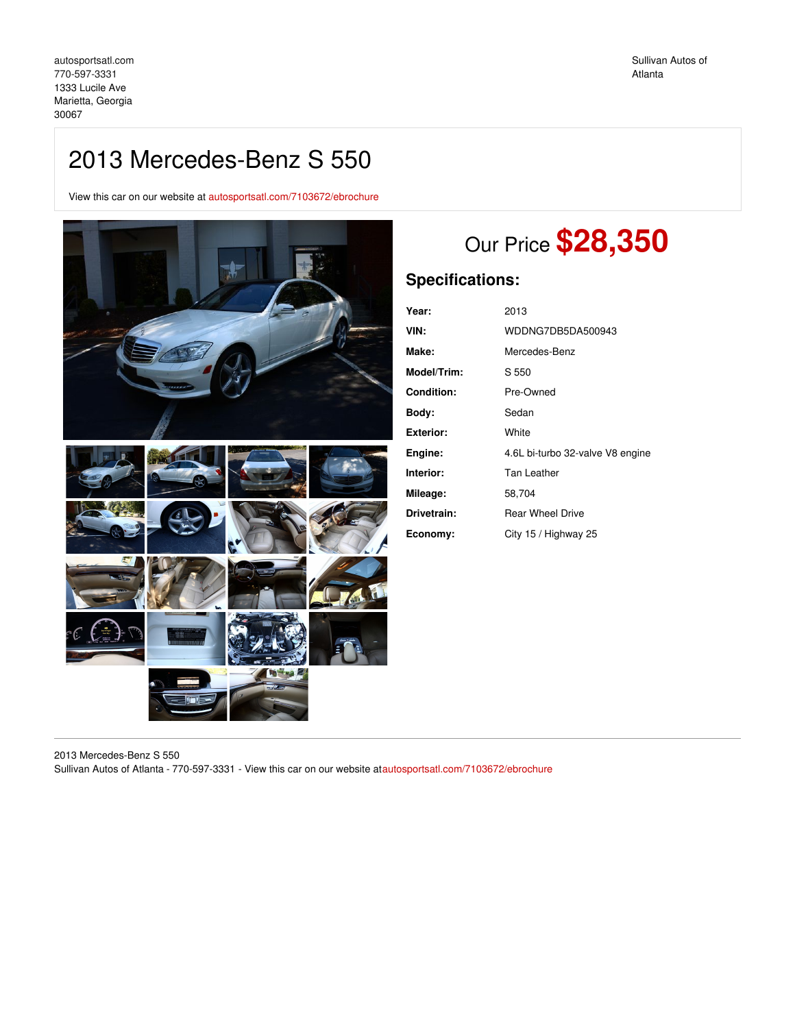## 2013 Mercedes-Benz S 550

View this car on our website at [autosportsatl.com/7103672/ebrochure](https://autosportsatl.com/vehicle/7103672/2013-mercedes-benz-s-550-marietta-georgia-30067/7103672/ebrochure)



# Our Price **\$28,350**

### **Specifications:**

| Year:             | 2013                             |
|-------------------|----------------------------------|
| VIN:              | WDDNG7DB5DA500943                |
| Make:             | Mercedes-Benz                    |
| Model/Trim:       | S 550                            |
| <b>Condition:</b> | Pre-Owned                        |
| Body:             | Sedan                            |
| <b>Exterior:</b>  | White                            |
| Engine:           | 4.6L bi-turbo 32-valve V8 engine |
| Interior:         | Tan Leather                      |
| Mileage:          | 58,704                           |
| Drivetrain:       | <b>Rear Wheel Drive</b>          |
| Economy:          | City 15 / Highway 25             |

2013 Mercedes-Benz S 550 Sullivan Autos of Atlanta - 770-597-3331 - View this car on our website a[tautosportsatl.com/7103672/ebrochure](https://autosportsatl.com/vehicle/7103672/2013-mercedes-benz-s-550-marietta-georgia-30067/7103672/ebrochure)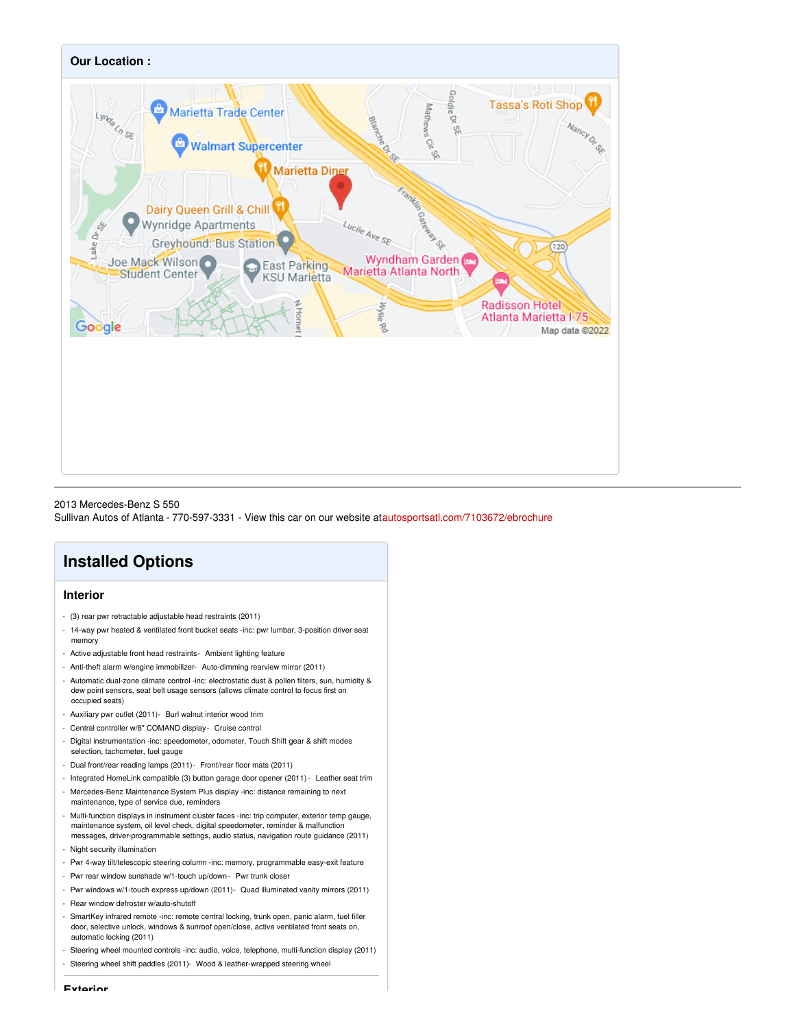

#### 2013 Mercedes-Benz S 550

Sullivan Autos of Atlanta - 770-597-3331 - View this car on our website a[tautosportsatl.com/7103672/ebrochure](https://autosportsatl.com/vehicle/7103672/2013-mercedes-benz-s-550-marietta-georgia-30067/7103672/ebrochure)

### **Installed Options**

### **Interior**

- (3) rear pwr retractable adjustable head restraints (2011)
- 14-way pwr heated & ventilated front bucket seats -inc: pwr lumbar, 3-position driver seat memory
- Active adjustable front head restraints- Ambient lighting feature
- Anti-theft alarm w/engine immobilizer- Auto-dimming rearview mirror (2011)
- Automatic dual-zone climate control -inc: electrostatic dust & pollen filters, sun, humidity & dew point sensors, seat belt usage sensors (allows climate control to focus first on occupied seats)
- Auxiliary pwr outlet (2011)- Burl walnut interior wood trim
- Central controller w/8" COMAND display- Cruise control
- Digital instrumentation -inc: speedometer, odometer, Touch Shift gear & shift modes selection, tachometer, fuel gauge
- Dual front/rear reading lamps (2011)- Front/rear floor mats (2011)
- Integrated HomeLink compatible (3) button garage door opener (2011) Leather seat trim
- Mercedes-Benz Maintenance System Plus display -inc: distance remaining to next maintenance, type of service due, reminders
- Multi-function displays in instrument cluster faces -inc: trip computer, exterior temp gauge, maintenance system, oil level check, digital speedometer, reminder & malfunction messages, driver-programmable settings, audio status, navigation route guidance (2011)
- Night security illumination
- Pwr 4-way tilt/telescopic steering column -inc: memory, programmable easy-exit feature
- Pwr rear window sunshade w/1-touch up/down- Pwr trunk closer
- Pwr windows w/1-touch express up/down (2011)- Quad illuminated vanity mirrors (2011)
- Rear window defroster w/auto-shutoff
- SmartKey infrared remote -inc: remote central locking, trunk open, panic alarm, fuel filler door, selective unlock, windows & sunroof open/close, active ventilated front seats on, automatic locking (2011)
- Steering wheel mounted controls -inc: audio, voice, telephone, multi-function display (2011)
- Steering wheel shift paddles (2011)- Wood & leather-wrapped steering wheel

**Exterior**